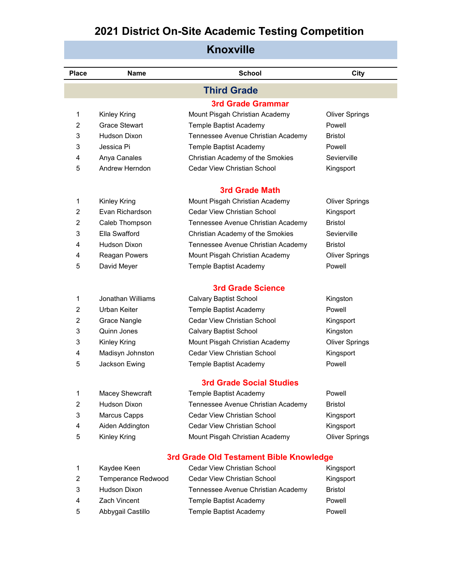| <b>Knoxville</b> |                    |                                         |                       |  |
|------------------|--------------------|-----------------------------------------|-----------------------|--|
| <b>Place</b>     | <b>Name</b>        | <b>School</b>                           | City                  |  |
|                  |                    | <b>Third Grade</b>                      |                       |  |
|                  |                    | <b>3rd Grade Grammar</b>                |                       |  |
| 1                | Kinley Kring       | Mount Pisgah Christian Academy          | <b>Oliver Springs</b> |  |
| $\overline{2}$   | Grace Stewart      | Temple Baptist Academy                  | Powell                |  |
| 3                | Hudson Dixon       | Tennessee Avenue Christian Academy      | <b>Bristol</b>        |  |
| 3                | Jessica Pi         | Temple Baptist Academy                  | Powell                |  |
| 4                | Anya Canales       | Christian Academy of the Smokies        | Sevierville           |  |
| 5                | Andrew Herndon     | Cedar View Christian School             | Kingsport             |  |
|                  |                    | <b>3rd Grade Math</b>                   |                       |  |
| 1                | Kinley Kring       | Mount Pisgah Christian Academy          | <b>Oliver Springs</b> |  |
| $\overline{2}$   | Evan Richardson    | Cedar View Christian School             | Kingsport             |  |
| $\overline{2}$   | Caleb Thompson     | Tennessee Avenue Christian Academy      | <b>Bristol</b>        |  |
| 3                | Ella Swafford      | Christian Academy of the Smokies        | Sevierville           |  |
| 4                | Hudson Dixon       | Tennessee Avenue Christian Academy      | Bristol               |  |
| 4                | Reagan Powers      | Mount Pisgah Christian Academy          | <b>Oliver Springs</b> |  |
| 5                | David Meyer        | Temple Baptist Academy                  | Powell                |  |
|                  |                    | <b>3rd Grade Science</b>                |                       |  |
| 1                | Jonathan Williams  | Calvary Baptist School                  | Kingston              |  |
| $\overline{2}$   | Urban Keiter       | Temple Baptist Academy                  | Powell                |  |
| 2                | Grace Nangle       | <b>Cedar View Christian School</b>      | Kingsport             |  |
| 3                | Quinn Jones        | <b>Calvary Baptist School</b>           | Kingston              |  |
| 3                | Kinley Kring       | Mount Pisgah Christian Academy          | <b>Oliver Springs</b> |  |
| 4                | Madisyn Johnston   | <b>Cedar View Christian School</b>      | Kingsport             |  |
| 5                | Jackson Ewing      | Temple Baptist Academy                  | Powell                |  |
|                  |                    | <b>3rd Grade Social Studies</b>         |                       |  |
| 1                | Macey Shewcraft    | Temple Baptist Academy                  | Powell                |  |
| $\overline{2}$   | Hudson Dixon       | Tennessee Avenue Christian Academy      | <b>Bristol</b>        |  |
| 3                | Marcus Capps       | Cedar View Christian School             | Kingsport             |  |
| 4                | Aiden Addington    | Cedar View Christian School             | Kingsport             |  |
| 5                | Kinley Kring       | Mount Pisgah Christian Academy          | <b>Oliver Springs</b> |  |
|                  |                    | 3rd Grade Old Testament Bible Knowledge |                       |  |
| 1                | Kaydee Keen        | <b>Cedar View Christian School</b>      | Kingsport             |  |
| 2                | Temperance Redwood | <b>Cedar View Christian School</b>      | Kingsport             |  |
| 3                | Hudson Dixon       | Tennessee Avenue Christian Academy      | <b>Bristol</b>        |  |
| 4                | Zach Vincent       | Temple Baptist Academy                  | Powell                |  |
| 5                | Abbygail Castillo  | Temple Baptist Academy                  | Powell                |  |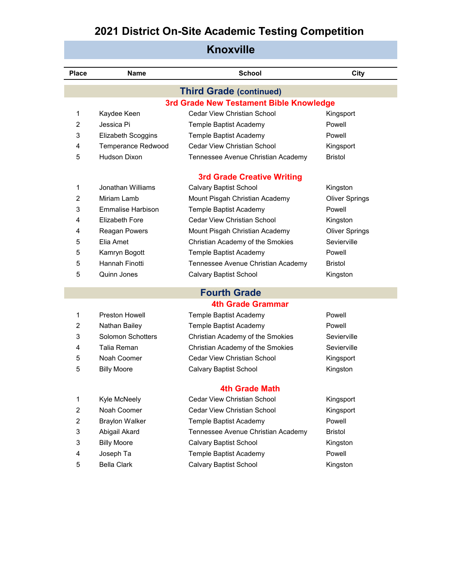| <b>Knoxville</b> |                                |                                         |                       |  |  |  |  |
|------------------|--------------------------------|-----------------------------------------|-----------------------|--|--|--|--|
| <b>Place</b>     | <b>Name</b>                    | <b>School</b>                           | <b>City</b>           |  |  |  |  |
|                  | <b>Third Grade (continued)</b> |                                         |                       |  |  |  |  |
|                  |                                | 3rd Grade New Testament Bible Knowledge |                       |  |  |  |  |
| 1                | Kaydee Keen                    | <b>Cedar View Christian School</b>      | Kingsport             |  |  |  |  |
| $\overline{2}$   | Jessica Pi                     | Temple Baptist Academy                  | Powell                |  |  |  |  |
| 3                | Elizabeth Scoggins             | Temple Baptist Academy                  | Powell                |  |  |  |  |
| 4                | <b>Temperance Redwood</b>      | <b>Cedar View Christian School</b>      | Kingsport             |  |  |  |  |
| 5                | <b>Hudson Dixon</b>            | Tennessee Avenue Christian Academy      | <b>Bristol</b>        |  |  |  |  |
|                  |                                | <b>3rd Grade Creative Writing</b>       |                       |  |  |  |  |
| $\mathbf{1}$     | Jonathan Williams              | <b>Calvary Baptist School</b>           | Kingston              |  |  |  |  |
| 2                | Miriam Lamb                    | Mount Pisgah Christian Academy          | <b>Oliver Springs</b> |  |  |  |  |
| 3                | <b>Emmalise Harbison</b>       | Temple Baptist Academy                  | Powell                |  |  |  |  |
| 4                | Elizabeth Fore                 | Cedar View Christian School             | Kingston              |  |  |  |  |
| 4                | Reagan Powers                  | Mount Pisgah Christian Academy          | <b>Oliver Springs</b> |  |  |  |  |
| 5                | Elia Amet                      | Christian Academy of the Smokies        | Sevierville           |  |  |  |  |
| 5                | Kamryn Bogott                  | Temple Baptist Academy                  | Powell                |  |  |  |  |
| 5                | Hannah Finotti                 | Tennessee Avenue Christian Academy      | <b>Bristol</b>        |  |  |  |  |
| 5                | Quinn Jones                    | <b>Calvary Baptist School</b>           | Kingston              |  |  |  |  |
|                  |                                | <b>Fourth Grade</b>                     |                       |  |  |  |  |
|                  |                                | <b>4th Grade Grammar</b>                |                       |  |  |  |  |
| 1                | <b>Preston Howell</b>          | Temple Baptist Academy                  | Powell                |  |  |  |  |
| 2                | Nathan Bailey                  | Temple Baptist Academy                  | Powell                |  |  |  |  |
| 3                | Solomon Schotters              | Christian Academy of the Smokies        | Sevierville           |  |  |  |  |
| 4                | Talia Reman                    | Christian Academy of the Smokies        | Sevierville           |  |  |  |  |
| 5                | Noah Coomer                    | <b>Cedar View Christian School</b>      | Kingsport             |  |  |  |  |
| 5                | <b>Billy Moore</b>             | Calvary Baptist School                  | Kingston              |  |  |  |  |
|                  |                                | <b>4th Grade Math</b>                   |                       |  |  |  |  |
| 1                | Kyle McNeely                   | Cedar View Christian School             | Kingsport             |  |  |  |  |
| $\overline{2}$   | Noah Coomer                    | <b>Cedar View Christian School</b>      | Kingsport             |  |  |  |  |
| $\overline{2}$   | <b>Braylon Walker</b>          | Temple Baptist Academy                  | Powell                |  |  |  |  |
| 3                | Abigail Akard                  | Tennessee Avenue Christian Academy      | Bristol               |  |  |  |  |
| 3                | <b>Billy Moore</b>             | <b>Calvary Baptist School</b>           | Kingston              |  |  |  |  |
| 4                | Joseph Ta                      | Temple Baptist Academy                  | Powell                |  |  |  |  |
| 5                | <b>Bella Clark</b>             | <b>Calvary Baptist School</b>           | Kingston              |  |  |  |  |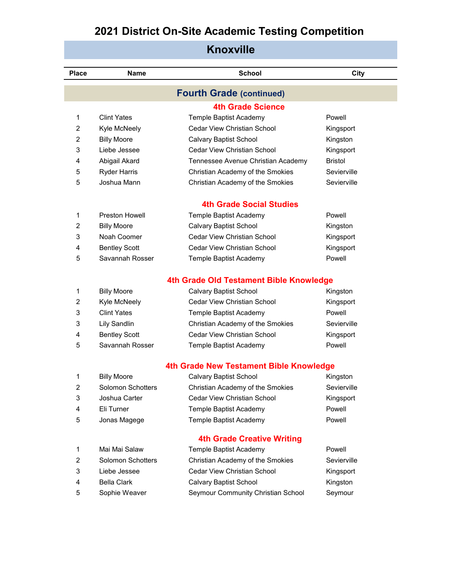| Knoxville      |                                 |                                         |                |  |  |  |
|----------------|---------------------------------|-----------------------------------------|----------------|--|--|--|
| <b>Place</b>   | <b>Name</b>                     | <b>School</b>                           | City           |  |  |  |
|                | <b>Fourth Grade (continued)</b> |                                         |                |  |  |  |
|                |                                 | <b>4th Grade Science</b>                |                |  |  |  |
| 1              | <b>Clint Yates</b>              | Temple Baptist Academy                  | Powell         |  |  |  |
| $\overline{c}$ | Kyle McNeely                    | Cedar View Christian School             | Kingsport      |  |  |  |
| $\overline{c}$ | <b>Billy Moore</b>              | <b>Calvary Baptist School</b>           | Kingston       |  |  |  |
| 3              | Liebe Jessee                    | Cedar View Christian School             | Kingsport      |  |  |  |
| 4              | Abigail Akard                   | Tennessee Avenue Christian Academy      | <b>Bristol</b> |  |  |  |
| 5              | <b>Ryder Harris</b>             | Christian Academy of the Smokies        | Sevierville    |  |  |  |
| 5              | Joshua Mann                     | Christian Academy of the Smokies        | Sevierville    |  |  |  |
|                |                                 | <b>4th Grade Social Studies</b>         |                |  |  |  |
| 1              | Preston Howell                  | Temple Baptist Academy                  | Powell         |  |  |  |
| 2              | <b>Billy Moore</b>              | <b>Calvary Baptist School</b>           | Kingston       |  |  |  |
| 3              | Noah Coomer                     | <b>Cedar View Christian School</b>      | Kingsport      |  |  |  |
| 4              | <b>Bentley Scott</b>            | Cedar View Christian School             | Kingsport      |  |  |  |
| 5              | Savannah Rosser                 | Temple Baptist Academy                  | Powell         |  |  |  |
|                |                                 | 4th Grade Old Testament Bible Knowledge |                |  |  |  |
| 1              | <b>Billy Moore</b>              | <b>Calvary Baptist School</b>           | Kingston       |  |  |  |
| $\overline{c}$ | Kyle McNeely                    | Cedar View Christian School             | Kingsport      |  |  |  |
| 3              | <b>Clint Yates</b>              | Temple Baptist Academy                  | Powell         |  |  |  |
| 3              | <b>Lily Sandlin</b>             | Christian Academy of the Smokies        | Sevierville    |  |  |  |
| 4              | <b>Bentley Scott</b>            | Cedar View Christian School             | Kingsport      |  |  |  |
| 5              | Savannah Rosser                 | Temple Baptist Academy                  | Powell         |  |  |  |
|                |                                 | 4th Grade New Testament Bible Knowledge |                |  |  |  |
| 1              | <b>Billy Moore</b>              | <b>Calvary Baptist School</b>           | Kingston       |  |  |  |
| 2              | Solomon Schotters               | Christian Academy of the Smokies        | Sevierville    |  |  |  |
| 3              | Joshua Carter                   | Cedar View Christian School             | Kingsport      |  |  |  |
| 4              | Eli Turner                      | Temple Baptist Academy                  | Powell         |  |  |  |
| 5              | Jonas Magege                    | Temple Baptist Academy                  | Powell         |  |  |  |
|                |                                 | <b>4th Grade Creative Writing</b>       |                |  |  |  |
| 1              | Mai Mai Salaw                   | Temple Baptist Academy                  | Powell         |  |  |  |
| 2              | Solomon Schotters               | Christian Academy of the Smokies        | Sevierville    |  |  |  |
| 3              | Liebe Jessee                    | Cedar View Christian School             | Kingsport      |  |  |  |
| 4              | <b>Bella Clark</b>              | <b>Calvary Baptist School</b>           | Kingston       |  |  |  |
| 5              | Sophie Weaver                   | Seymour Community Christian School      | Seymour        |  |  |  |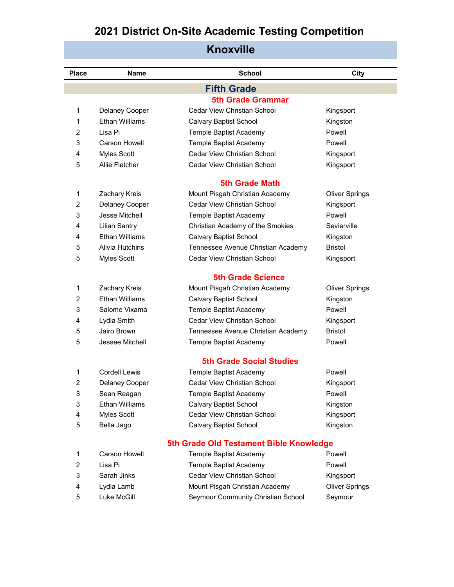| <b>Place</b>            | <b>Name</b>            | <b>School</b>                           | City                  |
|-------------------------|------------------------|-----------------------------------------|-----------------------|
|                         |                        |                                         |                       |
|                         |                        | <b>Fifth Grade</b>                      |                       |
|                         |                        | <b>5th Grade Grammar</b>                |                       |
| 1                       | Delaney Cooper         | <b>Cedar View Christian School</b>      | Kingsport             |
| 1                       | <b>Ethan Williams</b>  | <b>Calvary Baptist School</b>           | Kingston              |
| 2                       | Lisa Pi                | Temple Baptist Academy                  | Powell                |
| 3                       | <b>Carson Howell</b>   | Temple Baptist Academy                  | Powell                |
| 4                       | Myles Scott            | <b>Cedar View Christian School</b>      | Kingsport             |
| 5                       | Allie Fletcher         | <b>Cedar View Christian School</b>      | Kingsport             |
|                         |                        | <b>5th Grade Math</b>                   |                       |
| 1                       | Zachary Kreis          | Mount Pisgah Christian Academy          | <b>Oliver Springs</b> |
| 2                       | Delaney Cooper         | Cedar View Christian School             | Kingsport             |
| 3                       | Jesse Mitchell         | Temple Baptist Academy                  | Powell                |
| 4                       | <b>Lilian Santry</b>   | Christian Academy of the Smokies        | Sevierville           |
| 4                       | Ethan Williams         | <b>Calvary Baptist School</b>           | Kingston              |
| 5                       | <b>Alivia Hutchins</b> | Tennessee Avenue Christian Academy      | <b>Bristol</b>        |
| 5                       | Myles Scott            | <b>Cedar View Christian School</b>      | Kingsport             |
|                         |                        | <b>5th Grade Science</b>                |                       |
| 1                       | Zachary Kreis          | Mount Pisgah Christian Academy          | <b>Oliver Springs</b> |
| 2                       | Ethan Williams         | <b>Calvary Baptist School</b>           | Kingston              |
| 3                       | Salome Vixama          | Temple Baptist Academy                  | Powell                |
| 4                       | Lydia Smith            | <b>Cedar View Christian School</b>      | Kingsport             |
| 5                       | Jairo Brown            | Tennessee Avenue Christian Academy      | Bristol               |
| 5                       | Jessee Mitchell        | Temple Baptist Academy                  | Powell                |
|                         |                        |                                         |                       |
|                         |                        | <b>5th Grade Social Studies</b>         |                       |
| 1                       | <b>Cordell Lewis</b>   | Temple Baptist Academy                  | Powell                |
| $\overline{\mathbf{c}}$ | Delaney Cooper         | Cedar View Christian School             | Kingsport             |
| 3                       | Sean Reagan            | Temple Baptist Academy                  | Powell                |
| 3                       | Ethan Williams         | <b>Calvary Baptist School</b>           | Kingston              |
| 4                       | Myles Scott            | Cedar View Christian School             | Kingsport             |
| 5                       | Bella Jago             | Calvary Baptist School                  | Kingston              |
|                         |                        | 5th Grade Old Testament Bible Knowledge |                       |
| 1                       | Carson Howell          | Temple Baptist Academy                  | Powell                |
| 2                       | Lisa Pi                | Temple Baptist Academy                  | Powell                |
| 3                       | Sarah Jinks            | Cedar View Christian School             | Kingsport             |
| 4                       | Lydia Lamb             | Mount Pisgah Christian Academy          | <b>Oliver Springs</b> |
| 5                       | Luke McGill            | Seymour Community Christian School      | Seymour               |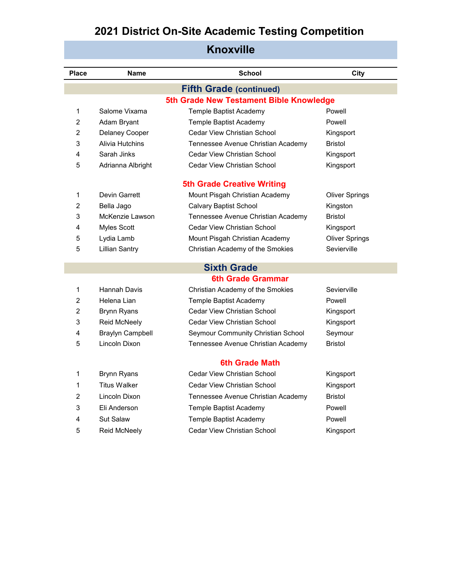| <b>NIIOXVIIIE</b> |                         |                                         |                       |  |
|-------------------|-------------------------|-----------------------------------------|-----------------------|--|
| Place             | <b>Name</b>             | <b>School</b>                           | City                  |  |
|                   |                         | <b>Fifth Grade (continued)</b>          |                       |  |
|                   |                         | 5th Grade New Testament Bible Knowledge |                       |  |
| 1                 | Salome Vixama           | Temple Baptist Academy                  | Powell                |  |
| 2                 | Adam Bryant             | Temple Baptist Academy                  | Powell                |  |
| 2                 | Delaney Cooper          | <b>Cedar View Christian School</b>      | Kingsport             |  |
| 3                 | <b>Alivia Hutchins</b>  | Tennessee Avenue Christian Academy      | <b>Bristol</b>        |  |
| 4                 | Sarah Jinks             | Cedar View Christian School             | Kingsport             |  |
| 5                 | Adrianna Albright       | <b>Cedar View Christian School</b>      | Kingsport             |  |
|                   |                         | <b>5th Grade Creative Writing</b>       |                       |  |
| 1                 | Devin Garrett           | Mount Pisgah Christian Academy          | <b>Oliver Springs</b> |  |
| 2                 | Bella Jago              | <b>Calvary Baptist School</b>           | Kingston              |  |
| 3                 | McKenzie Lawson         | Tennessee Avenue Christian Academy      | Bristol               |  |
| 4                 | Myles Scott             | Cedar View Christian School             | Kingsport             |  |
| 5                 | Lydia Lamb              | Mount Pisgah Christian Academy          | <b>Oliver Springs</b> |  |
| 5                 | <b>Lillian Santry</b>   | Christian Academy of the Smokies        | Sevierville           |  |
|                   |                         | <b>Sixth Grade</b>                      |                       |  |
|                   |                         | <b>6th Grade Grammar</b>                |                       |  |
| 1                 | Hannah Davis            | Christian Academy of the Smokies        | Sevierville           |  |
| 2                 | Helena Lian             | Temple Baptist Academy                  | Powell                |  |
| 2                 | <b>Brynn Ryans</b>      | Cedar View Christian School             | Kingsport             |  |
| 3                 | Reid McNeely            | Cedar View Christian School             | Kingsport             |  |
| 4                 | <b>Braylyn Campbell</b> | Seymour Community Christian School      | Seymour               |  |
| 5                 | Lincoln Dixon           | Tennessee Avenue Christian Academy      | <b>Bristol</b>        |  |
|                   |                         | 6th Grade Math                          |                       |  |
| 1                 | <b>Brynn Ryans</b>      | <b>Cedar View Christian School</b>      | Kingsport             |  |
| 1                 | <b>Titus Walker</b>     | Cedar View Christian School             | Kingsport             |  |
| 2                 | Lincoln Dixon           | Tennessee Avenue Christian Academy      | <b>Bristol</b>        |  |
| 3                 | Eli Anderson            | Temple Baptist Academy                  | Powell                |  |
| 4                 | <b>Sut Salaw</b>        | Temple Baptist Academy                  | Powell                |  |
| 5                 | Reid McNeely            | Cedar View Christian School             | Kingsport             |  |
|                   |                         |                                         |                       |  |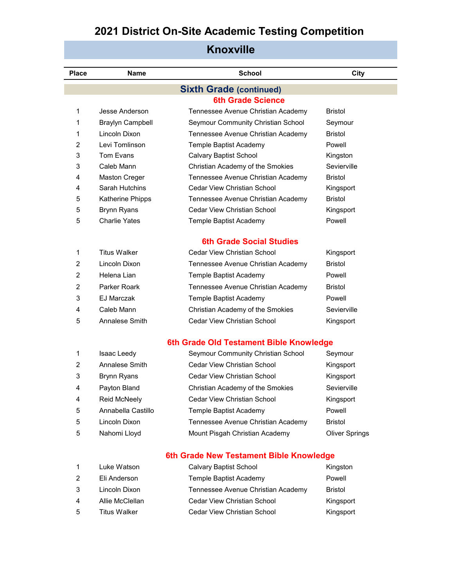| <b>Place</b> | <b>Name</b>             | <b>School</b>                           | <b>City</b>           |  |
|--------------|-------------------------|-----------------------------------------|-----------------------|--|
|              |                         | <b>Sixth Grade (continued)</b>          |                       |  |
|              |                         | <b>6th Grade Science</b>                |                       |  |
| 1            | Jesse Anderson          | Tennessee Avenue Christian Academy      | <b>Bristol</b>        |  |
| 1            | <b>Braylyn Campbell</b> | Seymour Community Christian School      | Seymour               |  |
| 1            | Lincoln Dixon           | Tennessee Avenue Christian Academy      | <b>Bristol</b>        |  |
| 2            | Levi Tomlinson          | Temple Baptist Academy                  | Powell                |  |
| 3            | Tom Evans               | <b>Calvary Baptist School</b>           | Kingston              |  |
| 3            | Caleb Mann              | Christian Academy of the Smokies        | Sevierville           |  |
| 4            | <b>Maston Creger</b>    | Tennessee Avenue Christian Academy      | <b>Bristol</b>        |  |
| 4            | Sarah Hutchins          | <b>Cedar View Christian School</b>      | Kingsport             |  |
| 5            | Katherine Phipps        | Tennessee Avenue Christian Academy      | <b>Bristol</b>        |  |
| 5            | <b>Brynn Ryans</b>      | Cedar View Christian School             | Kingsport             |  |
| 5            | <b>Charlie Yates</b>    | Temple Baptist Academy                  | Powell                |  |
|              |                         | <b>6th Grade Social Studies</b>         |                       |  |
| 1            | <b>Titus Walker</b>     | <b>Cedar View Christian School</b>      | Kingsport             |  |
| 2            | Lincoln Dixon           | Tennessee Avenue Christian Academy      | <b>Bristol</b>        |  |
| 2            | Helena Lian             | Temple Baptist Academy                  | Powell                |  |
| 2            | Parker Roark            | Tennessee Avenue Christian Academy      | <b>Bristol</b>        |  |
| 3            | <b>EJ Marczak</b>       | Temple Baptist Academy                  | Powell                |  |
| 4            | Caleb Mann              |                                         | Sevierville           |  |
|              |                         | Christian Academy of the Smokies        |                       |  |
| 5            | Annalese Smith          | <b>Cedar View Christian School</b>      | Kingsport             |  |
|              |                         | 6th Grade Old Testament Bible Knowledge |                       |  |
| 1            | Isaac Leedy             | Seymour Community Christian School      | Seymour               |  |
| 2            | Annalese Smith          | <b>Cedar View Christian School</b>      | Kingsport             |  |
| 3            | <b>Brynn Ryans</b>      | <b>Cedar View Christian School</b>      | Kingsport             |  |
| 4            | Payton Bland            | Christian Academy of the Smokies        | Sevierville           |  |
| 4            | Reid McNeely            | <b>Cedar View Christian School</b>      | Kingsport             |  |
| 5            | Annabella Castillo      | Temple Baptist Academy                  | Powell                |  |
| 5            | Lincoln Dixon           | Tennessee Avenue Christian Academy      | <b>Bristol</b>        |  |
| 5            | Nahomi Lloyd            | Mount Pisgah Christian Academy          | <b>Oliver Springs</b> |  |

#### **Knoxville**

#### **6th Grade New Testament Bible Knowledge**

|   | Luke Watson         | <b>Calvary Baptist School</b>      | Kingston       |
|---|---------------------|------------------------------------|----------------|
| 2 | Eli Anderson        | Temple Baptist Academy             | Powell         |
| 3 | Lincoln Dixon       | Tennessee Avenue Christian Academy | <b>Bristol</b> |
| 4 | Allie McClellan     | Cedar View Christian School        | Kingsport      |
| 5 | <b>Titus Walker</b> | Cedar View Christian School        | Kingsport      |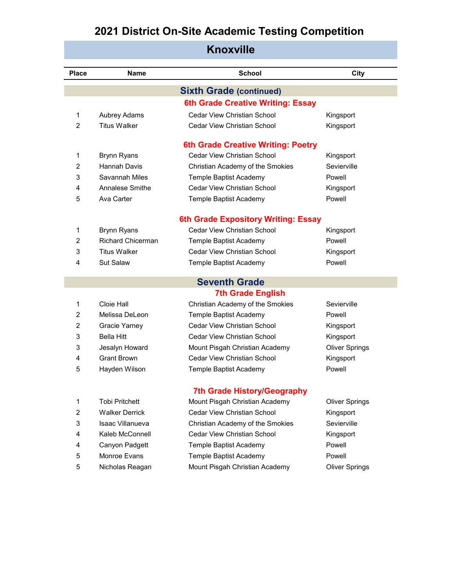| <b>Knoxville</b> |                          |                                           |                       |
|------------------|--------------------------|-------------------------------------------|-----------------------|
| <b>Place</b>     | <b>Name</b>              | <b>School</b>                             | City                  |
|                  |                          | <b>Sixth Grade (continued)</b>            |                       |
|                  |                          | 6th Grade Creative Writing: Essay         |                       |
| 1                | Aubrey Adams             | <b>Cedar View Christian School</b>        | Kingsport             |
| $\overline{2}$   | Titus Walker             | <b>Cedar View Christian School</b>        | Kingsport             |
|                  |                          | <b>6th Grade Creative Writing: Poetry</b> |                       |
| 1                | <b>Brynn Ryans</b>       | Cedar View Christian School               | Kingsport             |
| $\overline{2}$   | <b>Hannah Davis</b>      | Christian Academy of the Smokies          | Sevierville           |
| 3                | Savannah Miles           | Temple Baptist Academy                    | Powell                |
| 4                | Annalese Smithe          | Cedar View Christian School               | Kingsport             |
| 5                | Ava Carter               | Temple Baptist Academy                    | Powell                |
|                  |                          | 6th Grade Expository Writing: Essay       |                       |
| 1                | <b>Brynn Ryans</b>       | Cedar View Christian School               | Kingsport             |
| $\overline{2}$   | <b>Richard Chicerman</b> | Temple Baptist Academy                    | Powell                |
| 3                | <b>Titus Walker</b>      | <b>Cedar View Christian School</b>        | Kingsport             |
| 4                | <b>Sut Salaw</b>         | Temple Baptist Academy                    | Powell                |
|                  |                          | <b>Seventh Grade</b>                      |                       |
|                  |                          | <b>7th Grade English</b>                  |                       |
| 1                | Cloie Hall               | Christian Academy of the Smokies          | Sevierville           |
| $\overline{c}$   | Melissa DeLeon           | Temple Baptist Academy                    | Powell                |
| $\overline{2}$   | <b>Gracie Yarney</b>     | <b>Cedar View Christian School</b>        | Kingsport             |
| 3                | <b>Bella Hitt</b>        | <b>Cedar View Christian School</b>        | Kingsport             |
| 3                | Jesalyn Howard           | Mount Pisgah Christian Academy            | <b>Oliver Springs</b> |
| 4                | <b>Grant Brown</b>       | Cedar View Christian School               | Kingsport             |
| 5                | Hayden Wilson            | Temple Baptist Academy                    | Powell                |
|                  |                          | <b>7th Grade History/Geography</b>        |                       |
| 1                | <b>Tobi Pritchett</b>    | Mount Pisgah Christian Academy            | <b>Oliver Springs</b> |
| $\overline{2}$   | <b>Walker Derrick</b>    | <b>Cedar View Christian School</b>        | Kingsport             |
| 3                | <b>Isaac Villanueva</b>  | Christian Academy of the Smokies          | Sevierville           |
| 4                | Kaleb McConnell          | <b>Cedar View Christian School</b>        | Kingsport             |
| 4                | Canyon Padgett           | Temple Baptist Academy                    | Powell                |
| 5                | Monroe Evans             | Temple Baptist Academy                    | Powell                |
| 5                | Nicholas Reagan          | Mount Pisgah Christian Academy            | <b>Oliver Springs</b> |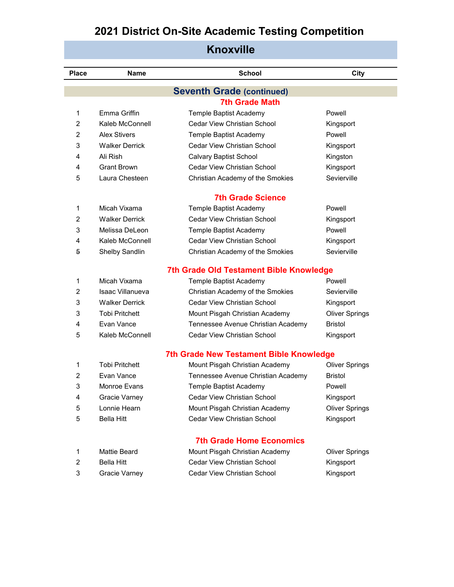| <b>Knoxville</b> |                                  |                                                |                       |  |  |  |
|------------------|----------------------------------|------------------------------------------------|-----------------------|--|--|--|
| <b>Place</b>     | <b>Name</b>                      | <b>School</b>                                  | City                  |  |  |  |
|                  | <b>Seventh Grade (continued)</b> |                                                |                       |  |  |  |
|                  |                                  | <b>7th Grade Math</b>                          |                       |  |  |  |
| 1                | Emma Griffin                     | Temple Baptist Academy                         | Powell                |  |  |  |
| $\overline{2}$   | Kaleb McConnell                  | Cedar View Christian School                    | Kingsport             |  |  |  |
| 2                | <b>Alex Stivers</b>              | Temple Baptist Academy                         | Powell                |  |  |  |
| 3                | <b>Walker Derrick</b>            | Cedar View Christian School                    | Kingsport             |  |  |  |
| 4                | Ali Rish                         | <b>Calvary Baptist School</b>                  | Kingston              |  |  |  |
| 4                | <b>Grant Brown</b>               | <b>Cedar View Christian School</b>             | Kingsport             |  |  |  |
| 5                | Laura Chesteen                   | Christian Academy of the Smokies               | Sevierville           |  |  |  |
|                  |                                  | <b>7th Grade Science</b>                       |                       |  |  |  |
| 1                | Micah Vixama                     | Temple Baptist Academy                         | Powell                |  |  |  |
| 2                | <b>Walker Derrick</b>            | Cedar View Christian School                    | Kingsport             |  |  |  |
| 3                | Melissa DeLeon                   | Temple Baptist Academy                         | Powell                |  |  |  |
| 4                | Kaleb McConnell                  | Cedar View Christian School                    | Kingsport             |  |  |  |
| 5                | Shelby Sandlin                   | Christian Academy of the Smokies               | Sevierville           |  |  |  |
|                  |                                  | 7th Grade Old Testament Bible Knowledge        |                       |  |  |  |
| 1                | Micah Vixama                     | Temple Baptist Academy                         | Powell                |  |  |  |
| $\overline{2}$   | <b>Isaac Villanueva</b>          | Christian Academy of the Smokies               | Sevierville           |  |  |  |
| 3                | <b>Walker Derrick</b>            | Cedar View Christian School                    | Kingsport             |  |  |  |
| 3                | <b>Tobi Pritchett</b>            | Mount Pisgah Christian Academy                 | <b>Oliver Springs</b> |  |  |  |
| 4                | Evan Vance                       | Tennessee Avenue Christian Academy             | <b>Bristol</b>        |  |  |  |
| 5                | Kaleb McConnell                  | <b>Cedar View Christian School</b>             | Kingsport             |  |  |  |
|                  |                                  | <b>7th Grade New Testament Bible Knowledge</b> |                       |  |  |  |
| 1                | <b>Tobi Pritchett</b>            | Mount Pisgah Christian Academy                 | <b>Oliver Springs</b> |  |  |  |
| 2                | Evan Vance                       | Tennessee Avenue Christian Academy             | <b>Bristol</b>        |  |  |  |
| 3                | Monroe Evans                     | Temple Baptist Academy                         | Powell                |  |  |  |
| 4                | Gracie Varney                    | Cedar View Christian School                    | Kingsport             |  |  |  |
| 5                | Lonnie Hearn                     | Mount Pisgah Christian Academy                 | <b>Oliver Springs</b> |  |  |  |
| 5                | <b>Bella Hitt</b>                | Cedar View Christian School                    | Kingsport             |  |  |  |
|                  |                                  | <b>7th Grade Home Economics</b>                |                       |  |  |  |
| 1                | <b>Mattie Beard</b>              | Mount Pisgah Christian Academy                 | <b>Oliver Springs</b> |  |  |  |
| 2                | <b>Bella Hitt</b>                | Cedar View Christian School                    | Kingsport             |  |  |  |
| 3                | Gracie Varney                    | Cedar View Christian School                    | Kingsport             |  |  |  |
|                  |                                  |                                                |                       |  |  |  |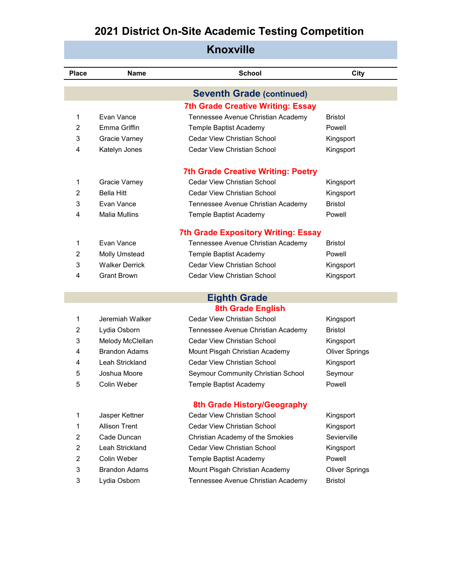| <b>Knoxville</b> |                       |                                            |                       |
|------------------|-----------------------|--------------------------------------------|-----------------------|
| <b>Place</b>     | <b>Name</b>           | <b>School</b>                              | City                  |
|                  |                       | <b>Seventh Grade (continued)</b>           |                       |
|                  |                       | <b>7th Grade Creative Writing: Essay</b>   |                       |
| 1                | Evan Vance            | Tennessee Avenue Christian Academy         | <b>Bristol</b>        |
| $\overline{2}$   | Emma Griffin          | Temple Baptist Academy                     | Powell                |
| 3                | <b>Gracie Varney</b>  | Cedar View Christian School                | Kingsport             |
| 4                | Katelyn Jones         | <b>Cedar View Christian School</b>         | Kingsport             |
|                  |                       | <b>7th Grade Creative Writing: Poetry</b>  |                       |
| 1                | Gracie Varney         | Cedar View Christian School                | Kingsport             |
| $\overline{2}$   | <b>Bella Hitt</b>     | Cedar View Christian School                | Kingsport             |
| 3                | Evan Vance            | Tennessee Avenue Christian Academy         | <b>Bristol</b>        |
| 4                | <b>Malia Mullins</b>  | Temple Baptist Academy                     | Powell                |
|                  |                       | <b>7th Grade Expository Writing: Essay</b> |                       |
| 1                | Evan Vance            | Tennessee Avenue Christian Academy         | <b>Bristol</b>        |
| $\overline{2}$   | <b>Molly Umstead</b>  | Temple Baptist Academy                     | Powell                |
| 3                | <b>Walker Derrick</b> | Cedar View Christian School                | Kingsport             |
| 4                | <b>Grant Brown</b>    | Cedar View Christian School                | Kingsport             |
|                  |                       | <b>Eighth Grade</b>                        |                       |
|                  |                       | <b>8th Grade English</b>                   |                       |
| 1                | Jeremiah Walker       | Cedar View Christian School                | Kingsport             |
| $\overline{2}$   | Lydia Osborn          | Tennessee Avenue Christian Academy         | <b>Bristol</b>        |
| 3                | Melody McClellan      | Cedar View Christian School                | Kingsport             |
| 4                | <b>Brandon Adams</b>  | Mount Pisgah Christian Academy             | <b>Oliver Springs</b> |
| 4                | Leah Strickland       | Cedar View Christian School                | Kingsport             |
| 5                | Joshua Moore          | Seymour Community Christian School         | Seymour               |
| 5                | Colin Weber           | Temple Baptist Academy                     | Powell                |
|                  |                       | 8th Grade History/Geography                |                       |
| 1                | Jasper Kettner        | <b>Cedar View Christian School</b>         | Kingsport             |
| 1                | <b>Allison Trent</b>  | Cedar View Christian School                | Kingsport             |
| $\overline{2}$   | Cade Duncan           | Christian Academy of the Smokies           | Sevierville           |
| $\overline{2}$   | Leah Strickland       | <b>Cedar View Christian School</b>         | Kingsport             |
| $\overline{c}$   | Colin Weber           | Temple Baptist Academy                     | Powell                |
| 3                | <b>Brandon Adams</b>  | Mount Pisgah Christian Academy             | <b>Oliver Springs</b> |

Lydia Osborn Tennessee Avenue Christian Academy Bristol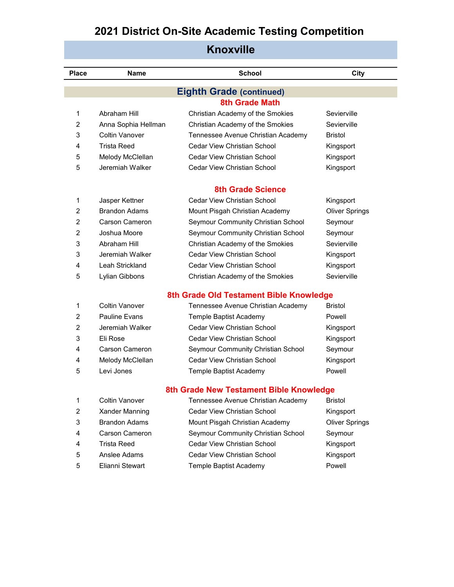| <b>Place</b>   | <b>Name</b>           | <b>School</b>                           | City                  |
|----------------|-----------------------|-----------------------------------------|-----------------------|
|                |                       | <b>Eighth Grade (continued)</b>         |                       |
|                |                       | <b>8th Grade Math</b>                   |                       |
| 1              | Abraham Hill          | Christian Academy of the Smokies        | Sevierville           |
| $\overline{2}$ | Anna Sophia Hellman   | Christian Academy of the Smokies        | Sevierville           |
| 3              | <b>Coltin Vanover</b> | Tennessee Avenue Christian Academy      | <b>Bristol</b>        |
| 4              | Trista Reed           | <b>Cedar View Christian School</b>      | Kingsport             |
| 5              | Melody McClellan      | <b>Cedar View Christian School</b>      | Kingsport             |
| 5              | Jeremiah Walker       | Cedar View Christian School             | Kingsport             |
|                |                       | <b>8th Grade Science</b>                |                       |
| 1              | Jasper Kettner        | Cedar View Christian School             | Kingsport             |
| $\overline{2}$ | <b>Brandon Adams</b>  | Mount Pisgah Christian Academy          | <b>Oliver Springs</b> |
| 2              | <b>Carson Cameron</b> | Seymour Community Christian School      | Seymour               |
| $\overline{2}$ | Joshua Moore          | Seymour Community Christian School      | Seymour               |
| 3              | Abraham Hill          | Christian Academy of the Smokies        | Sevierville           |
| 3              | Jeremiah Walker       | Cedar View Christian School             | Kingsport             |
| 4              | Leah Strickland       | <b>Cedar View Christian School</b>      | Kingsport             |
| 5              | Lylian Gibbons        | Christian Academy of the Smokies        | Sevierville           |
|                |                       | 8th Grade Old Testament Bible Knowledge |                       |
| 1              | Coltin Vanover        | Tennessee Avenue Christian Academy      | Bristol               |
| $\overline{2}$ | <b>Pauline Evans</b>  | Temple Baptist Academy                  | Powell                |
| 2              | Jeremiah Walker       | <b>Cedar View Christian School</b>      | Kingsport             |
| 3              | Eli Rose              | Cedar View Christian School             | Kingsport             |
| 4              | <b>Carson Cameron</b> | Seymour Community Christian School      | Seymour               |
| 4              | Melody McClellan      | <b>Cedar View Christian School</b>      | Kingsport             |
| 5              | Levi Jones            | Temple Baptist Academy                  | Powell                |
|                |                       | 8th Grade New Testament Bible Knowledge |                       |
| 1              | Coltin Vanover        | Tennessee Avenue Christian Academy      | Bristol               |
| $\overline{2}$ | Xander Manning        | <b>Cedar View Christian School</b>      | Kingsport             |
| 3              | <b>Brandon Adams</b>  | Mount Pisgah Christian Academy          | <b>Oliver Springs</b> |
| 4              | Carson Cameron        | Seymour Community Christian School      | Seymour               |
| 4              | Trista Reed           | Cedar View Christian School             | Kingsport             |
| 5              | Anslee Adams          | Cedar View Christian School             | Kingsport             |
| 5              | Elianni Stewart       | Temple Baptist Academy                  | Powell                |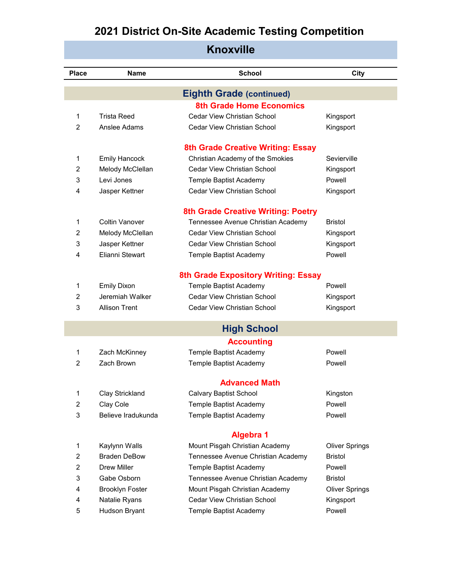| MIUAVIIIT        |                        |                                            |                       |  |
|------------------|------------------------|--------------------------------------------|-----------------------|--|
| <b>Place</b>     | <b>Name</b>            | <b>School</b>                              | City                  |  |
|                  |                        | <b>Eighth Grade (continued)</b>            |                       |  |
|                  |                        | <b>8th Grade Home Economics</b>            |                       |  |
| 1                | <b>Trista Reed</b>     | <b>Cedar View Christian School</b>         | Kingsport             |  |
| $\overline{2}$   | Anslee Adams           | <b>Cedar View Christian School</b>         | Kingsport             |  |
|                  |                        | 8th Grade Creative Writing: Essay          |                       |  |
| 1                | <b>Emily Hancock</b>   | Christian Academy of the Smokies           | Sevierville           |  |
| $\overline{2}$   | Melody McClellan       | <b>Cedar View Christian School</b>         | Kingsport             |  |
| 3                | Levi Jones             | Temple Baptist Academy                     | Powell                |  |
| 4                | Jasper Kettner         | <b>Cedar View Christian School</b>         | Kingsport             |  |
|                  |                        | <b>8th Grade Creative Writing: Poetry</b>  |                       |  |
| 1                | Coltin Vanover         | Tennessee Avenue Christian Academy         | <b>Bristol</b>        |  |
| $\overline{2}$   | Melody McClellan       | Cedar View Christian School                | Kingsport             |  |
| 3                | Jasper Kettner         | <b>Cedar View Christian School</b>         | Kingsport             |  |
| 4                | Flianni Stewart        | Temple Baptist Academy                     | Powell                |  |
|                  |                        | <b>8th Grade Expository Writing: Essay</b> |                       |  |
| 1                | <b>Emily Dixon</b>     | Temple Baptist Academy                     | Powell                |  |
| 2                | Jeremiah Walker        | <b>Cedar View Christian School</b>         | Kingsport             |  |
| 3                | <b>Allison Trent</b>   | <b>Cedar View Christian School</b>         | Kingsport             |  |
|                  |                        | <b>High School</b>                         |                       |  |
|                  |                        | <b>Accounting</b>                          |                       |  |
| 1                | Zach McKinney          | Temple Baptist Academy                     | Powell                |  |
| $\overline{2}$   | Zach Brown             | Temple Baptist Academy                     | Powell                |  |
|                  |                        | <b>Advanced Math</b>                       |                       |  |
| 1                | Clay Strickland        | <b>Calvary Baptist School</b>              | Kingston              |  |
| 2                | Clay Cole              | Temple Baptist Academy                     | Powell                |  |
| 3                | Believe Iradukunda     | Temple Baptist Academy                     | Powell                |  |
|                  |                        | <b>Algebra 1</b>                           |                       |  |
| 1                | Kaylynn Walls          | Mount Pisgah Christian Academy             | <b>Oliver Springs</b> |  |
| 2                | <b>Braden DeBow</b>    | Tennessee Avenue Christian Academy         | <b>Bristol</b>        |  |
| $\boldsymbol{2}$ | <b>Drew Miller</b>     | Temple Baptist Academy                     | Powell                |  |
| 3                | Gabe Osborn            | Tennessee Avenue Christian Academy         | <b>Bristol</b>        |  |
| 4                | <b>Brooklyn Foster</b> | Mount Pisgah Christian Academy             | <b>Oliver Springs</b> |  |
| 4                | Natalie Ryans          | Cedar View Christian School                | Kingsport             |  |
| 5                | Hudson Bryant          | Temple Baptist Academy                     | Powell                |  |
|                  |                        |                                            |                       |  |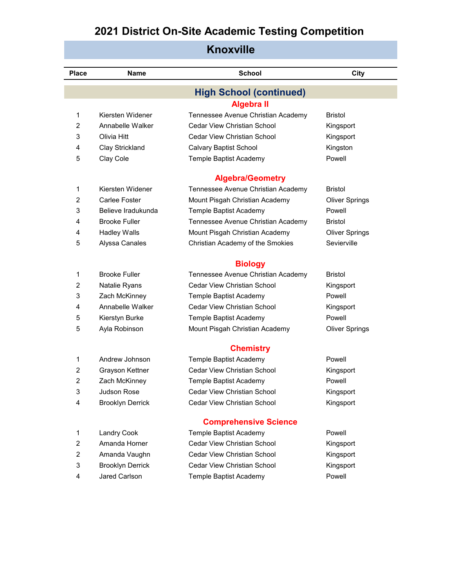| <b>Knoxville</b> |                         |                                    |                       |  |  |
|------------------|-------------------------|------------------------------------|-----------------------|--|--|
| <b>Place</b>     | Name                    | <b>School</b>                      | City                  |  |  |
|                  |                         | <b>High School (continued)</b>     |                       |  |  |
|                  |                         | <b>Algebra II</b>                  |                       |  |  |
| 1                | Kiersten Widener        | Tennessee Avenue Christian Academy | Bristol               |  |  |
| $\overline{2}$   | Annabelle Walker        | <b>Cedar View Christian School</b> | Kingsport             |  |  |
| 3                | Olivia Hitt             | <b>Cedar View Christian School</b> | Kingsport             |  |  |
| 4                | Clay Strickland         | <b>Calvary Baptist School</b>      | Kingston              |  |  |
| 5                | Clay Cole               | Temple Baptist Academy             | Powell                |  |  |
|                  |                         | <b>Algebra/Geometry</b>            |                       |  |  |
| 1                | Kiersten Widener        | Tennessee Avenue Christian Academy | <b>Bristol</b>        |  |  |
| 2                | Carlee Foster           | Mount Pisgah Christian Academy     | <b>Oliver Springs</b> |  |  |
| 3                | Believe Iradukunda      | Temple Baptist Academy             | Powell                |  |  |
| 4                | <b>Brooke Fuller</b>    | Tennessee Avenue Christian Academy | Bristol               |  |  |
| 4                | <b>Hadley Walls</b>     | Mount Pisgah Christian Academy     | <b>Oliver Springs</b> |  |  |
| 5                | Alyssa Canales          | Christian Academy of the Smokies   | Sevierville           |  |  |
|                  |                         | <b>Biology</b>                     |                       |  |  |
| 1                | <b>Brooke Fuller</b>    | Tennessee Avenue Christian Academy | <b>Bristol</b>        |  |  |
| 2                | Natalie Ryans           | <b>Cedar View Christian School</b> | Kingsport             |  |  |
| 3                | Zach McKinney           | Temple Baptist Academy             | Powell                |  |  |
| 4                | Annabelle Walker        | <b>Cedar View Christian School</b> | Kingsport             |  |  |
| 5                | Kierstyn Burke          | Temple Baptist Academy             | Powell                |  |  |
| 5                | Ayla Robinson           | Mount Pisgah Christian Academy     | <b>Oliver Springs</b> |  |  |
|                  |                         | <b>Chemistry</b>                   |                       |  |  |
| 1                | Andrew Johnson          | Temple Baptist Academy             | Powell                |  |  |
| $\overline{2}$   | Grayson Kettner         | <b>Cedar View Christian School</b> | Kingsport             |  |  |
| 2                | Zach McKinney           | Temple Baptist Academy             | Powell                |  |  |
| 3                | Judson Rose             | Cedar View Christian School        | Kingsport             |  |  |
| 4                | <b>Brooklyn Derrick</b> | Cedar View Christian School        | Kingsport             |  |  |
|                  |                         | <b>Comprehensive Science</b>       |                       |  |  |
| $\mathbf{1}$     | <b>Landry Cook</b>      | Temple Baptist Academy             | Powell                |  |  |
| 2                | Amanda Horner           | Cedar View Christian School        | Kingsport             |  |  |
| 2                | Amanda Vaughn           | Cedar View Christian School        | Kingsport             |  |  |
| 3                | <b>Brooklyn Derrick</b> | Cedar View Christian School        | Kingsport             |  |  |
| 4                | Jared Carlson           | Temple Baptist Academy             | Powell                |  |  |
|                  |                         |                                    |                       |  |  |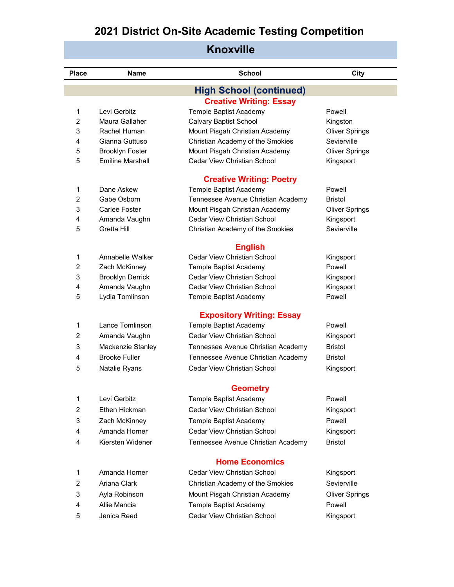| Knoxville      |                         |                                                      |                       |  |  |
|----------------|-------------------------|------------------------------------------------------|-----------------------|--|--|
| <b>Place</b>   | Name                    | <b>School</b>                                        | City                  |  |  |
|                |                         | <b>High School (continued)</b>                       |                       |  |  |
|                |                         | <b>Creative Writing: Essay</b>                       |                       |  |  |
| 1              | Levi Gerbitz            | Temple Baptist Academy                               | Powell                |  |  |
| 2              | Maura Gallaher          | <b>Calvary Baptist School</b>                        | Kingston              |  |  |
| 3              | Rachel Human            | Mount Pisgah Christian Academy                       | <b>Oliver Springs</b> |  |  |
| 4              | Gianna Guttuso          | Christian Academy of the Smokies                     | Sevierville           |  |  |
| 5              | <b>Brooklyn Foster</b>  | Mount Pisgah Christian Academy                       | <b>Oliver Springs</b> |  |  |
| 5              | <b>Emiline Marshall</b> | Cedar View Christian School                          | Kingsport             |  |  |
|                |                         | <b>Creative Writing: Poetry</b>                      |                       |  |  |
| 1              | Dane Askew              | Temple Baptist Academy                               | Powell                |  |  |
| $\overline{2}$ | Gabe Osborn             | Tennessee Avenue Christian Academy                   | <b>Bristol</b>        |  |  |
| 3              | Carlee Foster           | Mount Pisgah Christian Academy                       | <b>Oliver Springs</b> |  |  |
| 4              | Amanda Vaughn           | Cedar View Christian School                          | Kingsport             |  |  |
| 5              | Gretta Hill             | Christian Academy of the Smokies                     | Sevierville           |  |  |
|                |                         | <b>English</b>                                       |                       |  |  |
| 1              | Annabelle Walker        | Cedar View Christian School                          | Kingsport             |  |  |
| 2              | Zach McKinney           | Temple Baptist Academy                               | Powell                |  |  |
| 3              | <b>Brooklyn Derrick</b> | Cedar View Christian School                          | Kingsport             |  |  |
| 4              | Amanda Vaughn           | Cedar View Christian School                          | Kingsport             |  |  |
| 5              | Lydia Tomlinson         | Temple Baptist Academy                               | Powell                |  |  |
|                |                         | <b>Expository Writing: Essay</b>                     |                       |  |  |
| 1              | Lance Tomlinson         | Temple Baptist Academy                               | Powell                |  |  |
| 2              | Amanda Vaughn           | Cedar View Christian School                          | Kingsport             |  |  |
| 3              | Mackenzie Stanley       | Tennessee Avenue Christian Academy                   | <b>Bristol</b>        |  |  |
| 4              | <b>Brooke Fuller</b>    | Tennessee Avenue Christian Academy                   | <b>Bristol</b>        |  |  |
| 5              | Natalie Ryans           | Cedar View Christian School                          | Kingsport             |  |  |
|                |                         | <b>Geometry</b>                                      |                       |  |  |
| 1              | Levi Gerbitz            | Temple Baptist Academy                               | Powell                |  |  |
| 2              | Ethen Hickman           | <b>Cedar View Christian School</b>                   | Kingsport             |  |  |
| 3              | Zach McKinney           | Temple Baptist Academy                               | Powell                |  |  |
| 4              | Amanda Horner           | Cedar View Christian School                          | Kingsport             |  |  |
| 4              | Kiersten Widener        | Tennessee Avenue Christian Academy                   | <b>Bristol</b>        |  |  |
|                |                         |                                                      |                       |  |  |
| 1              | Amanda Horner           | <b>Home Economics</b><br>Cedar View Christian School | Kingsport             |  |  |
| $\overline{2}$ | Ariana Clark            | Christian Academy of the Smokies                     | Sevierville           |  |  |
| 3              | Ayla Robinson           | Mount Pisgah Christian Academy                       | <b>Oliver Springs</b> |  |  |
| 4              | Allie Mancia            |                                                      | Powell                |  |  |
|                |                         | Temple Baptist Academy                               |                       |  |  |
| 5              | Jenica Reed             | Cedar View Christian School                          | Kingsport             |  |  |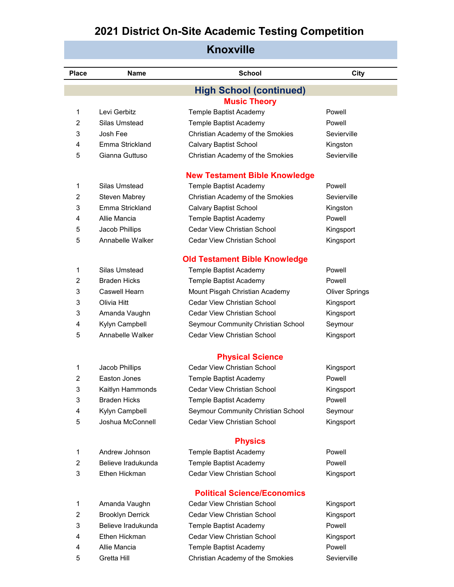| <b>KNOXVIIIE</b>                     |                         |                                    |                       |  |  |  |
|--------------------------------------|-------------------------|------------------------------------|-----------------------|--|--|--|
| <b>Place</b>                         | <b>Name</b>             | <b>School</b>                      | City                  |  |  |  |
| <b>High School (continued)</b>       |                         |                                    |                       |  |  |  |
|                                      |                         | <b>Music Theory</b>                |                       |  |  |  |
| 1                                    | Levi Gerbitz            | Temple Baptist Academy             | Powell                |  |  |  |
| $\overline{2}$                       | Silas Umstead           | Temple Baptist Academy             | Powell                |  |  |  |
| 3                                    | Josh Fee                | Christian Academy of the Smokies   | Sevierville           |  |  |  |
| 4                                    | Emma Strickland         | <b>Calvary Baptist School</b>      | Kingston              |  |  |  |
| 5                                    | Gianna Guttuso          | Christian Academy of the Smokies   | Sevierville           |  |  |  |
| <b>New Testament Bible Knowledge</b> |                         |                                    |                       |  |  |  |
| 1                                    | Silas Umstead           | Temple Baptist Academy             | Powell                |  |  |  |
| 2                                    | <b>Steven Mabrey</b>    | Christian Academy of the Smokies   | Sevierville           |  |  |  |
| 3                                    | Emma Strickland         | <b>Calvary Baptist School</b>      | Kingston              |  |  |  |
| 4                                    | Allie Mancia            | Temple Baptist Academy             | Powell                |  |  |  |
| 5                                    | Jacob Phillips          | Cedar View Christian School        | Kingsport             |  |  |  |
| 5                                    | Annabelle Walker        | Cedar View Christian School        | Kingsport             |  |  |  |
| <b>Old Testament Bible Knowledge</b> |                         |                                    |                       |  |  |  |
| 1                                    | Silas Umstead           | Temple Baptist Academy             | Powell                |  |  |  |
| $\overline{2}$                       | <b>Braden Hicks</b>     | Temple Baptist Academy             | Powell                |  |  |  |
| 3                                    | Caswell Hearn           | Mount Pisgah Christian Academy     | <b>Oliver Springs</b> |  |  |  |
| 3                                    | Olivia Hitt             | <b>Cedar View Christian School</b> | Kingsport             |  |  |  |
| 3                                    | Amanda Vaughn           | <b>Cedar View Christian School</b> | Kingsport             |  |  |  |
| 4                                    | Kylyn Campbell          | Seymour Community Christian School | Seymour               |  |  |  |
| 5                                    | Annabelle Walker        | <b>Cedar View Christian School</b> | Kingsport             |  |  |  |
|                                      |                         | <b>Physical Science</b>            |                       |  |  |  |
| 1                                    | Jacob Phillips          | Cedar View Christian School        | Kingsport             |  |  |  |
| $\overline{\mathbf{c}}$              | Easton Jones            | Temple Baptist Academy             | Powell                |  |  |  |
| 3                                    | Kaitlyn Hammonds        | Cedar View Christian School        | Kingsport             |  |  |  |
| 3                                    | <b>Braden Hicks</b>     | Temple Baptist Academy             | Powell                |  |  |  |
| 4                                    | Kylyn Campbell          | Seymour Community Christian School | Seymour               |  |  |  |
| 5                                    | Joshua McConnell        | Cedar View Christian School        | Kingsport             |  |  |  |
|                                      |                         | <b>Physics</b>                     |                       |  |  |  |
| 1                                    | Andrew Johnson          | Temple Baptist Academy             | Powell                |  |  |  |
| 2                                    | Believe Iradukunda      | Temple Baptist Academy             | Powell                |  |  |  |
| 3                                    | Ethen Hickman           | Cedar View Christian School        | Kingsport             |  |  |  |
|                                      |                         | <b>Political Science/Economics</b> |                       |  |  |  |
| 1                                    | Amanda Vaughn           | Cedar View Christian School        | Kingsport             |  |  |  |
| 2                                    | <b>Brooklyn Derrick</b> | Cedar View Christian School        | Kingsport             |  |  |  |
| 3                                    | Believe Iradukunda      | Temple Baptist Academy             | Powell                |  |  |  |
| 4                                    | Ethen Hickman           | Cedar View Christian School        | Kingsport             |  |  |  |
| 4                                    | Allie Mancia            | Temple Baptist Academy             | Powell                |  |  |  |

5 Gretta Hill Christian Academy of the Smokies Sevierville

#### **Knoxville**